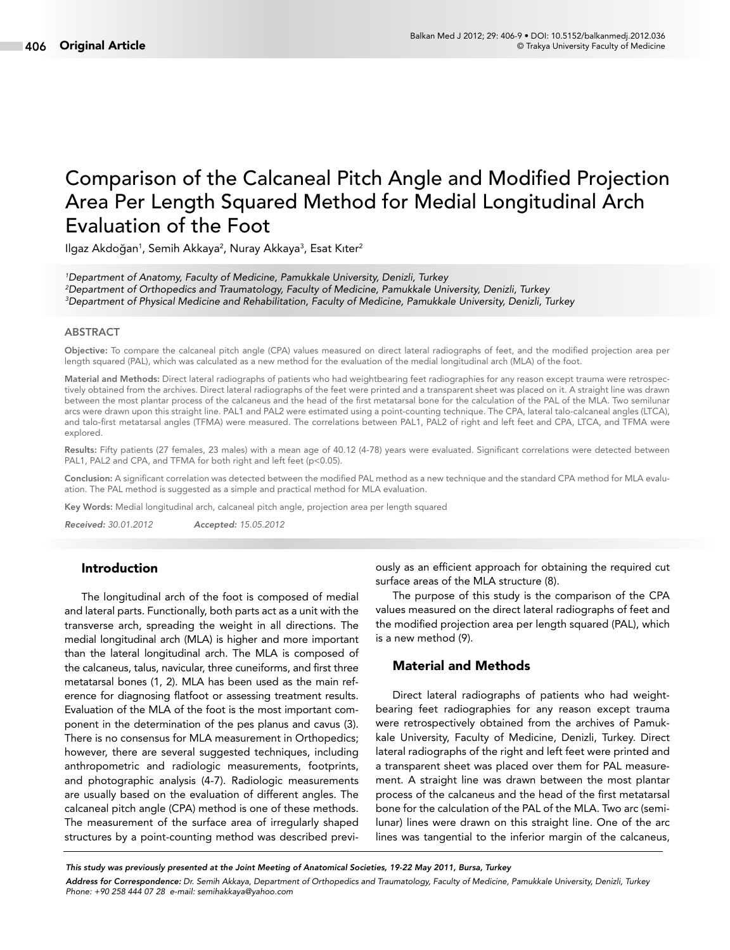# Comparison of the Calcaneal Pitch Angle and Modified Projection Area Per Length Squared Method for Medial Longitudinal Arch Evaluation of the Foot

Ilgaz Akdoğan<sup>1</sup>, Semih Akkaya<sup>2</sup>, Nuray Akkaya<sup>3</sup>, Esat Kıter<sup>2</sup>

*1 Department of Anatomy, Faculty of Medicine, Pamukkale University, Denizli, Turkey 2 Department of Orthopedics and Traumatology, Faculty of Medicine, Pamukkale University, Denizli, Turkey 3 Department of Physical Medicine and Rehabilitation, Faculty of Medicine, Pamukkale University, Denizli, Turkey*

#### ABSTRACT

Objective: To compare the calcaneal pitch angle (CPA) values measured on direct lateral radiographs of feet, and the modified projection area per length squared (PAL), which was calculated as a new method for the evaluation of the medial longitudinal arch (MLA) of the foot.

Material and Methods: Direct lateral radiographs of patients who had weightbearing feet radiographies for any reason except trauma were retrospectively obtained from the archives. Direct lateral radiographs of the feet were printed and a transparent sheet was placed on it. A straight line was drawn between the most plantar process of the calcaneus and the head of the first metatarsal bone for the calculation of the PAL of the MLA. Two semilunar arcs were drawn upon this straight line. PAL1 and PAL2 were estimated using a point-counting technique. The CPA, lateral talo-calcaneal angles (LTCA), and talo-first metatarsal angles (TFMA) were measured. The correlations between PAL1, PAL2 of right and left feet and CPA, LTCA, and TFMA were explored.

Results: Fifty patients (27 females, 23 males) with a mean age of 40.12 (4-78) years were evaluated. Significant correlations were detected between PAL1, PAL2 and CPA, and TFMA for both right and left feet (p<0.05).

Conclusion: A significant correlation was detected between the modified PAL method as a new technique and the standard CPA method for MLA evaluation. The PAL method is suggested as a simple and practical method for MLA evaluation.

Key Words: Medial longitudinal arch, calcaneal pitch angle, projection area per length squared

*Received: 30.01.2012 Accepted: 15.05.2012*

#### Introduction

The longitudinal arch of the foot is composed of medial and lateral parts. Functionally, both parts act as a unit with the transverse arch, spreading the weight in all directions. The medial longitudinal arch (MLA) is higher and more important than the lateral longitudinal arch. The MLA is composed of the calcaneus, talus, navicular, three cuneiforms, and first three metatarsal bones (1, 2). MLA has been used as the main reference for diagnosing flatfoot or assessing treatment results. Evaluation of the MLA of the foot is the most important component in the determination of the pes planus and cavus (3). There is no consensus for MLA measurement in Orthopedics; however, there are several suggested techniques, including anthropometric and radiologic measurements, footprints, and photographic analysis (4-7). Radiologic measurements are usually based on the evaluation of different angles. The calcaneal pitch angle (CPA) method is one of these methods. The measurement of the surface area of irregularly shaped structures by a point-counting method was described previously as an efficient approach for obtaining the required cut surface areas of the MLA structure (8).

The purpose of this study is the comparison of the CPA values measured on the direct lateral radiographs of feet and the modified projection area per length squared (PAL), which is a new method (9).

#### Material and Methods

Direct lateral radiographs of patients who had weightbearing feet radiographies for any reason except trauma were retrospectively obtained from the archives of Pamukkale University, Faculty of Medicine, Denizli, Turkey. Direct lateral radiographs of the right and left feet were printed and a transparent sheet was placed over them for PAL measurement. A straight line was drawn between the most plantar process of the calcaneus and the head of the first metatarsal bone for the calculation of the PAL of the MLA. Two arc (semilunar) lines were drawn on this straight line. One of the arc lines was tangential to the inferior margin of the calcaneus,

*This study was previously presented at the Joint Meeting of Anatomical Societies, 19-22 May 2011, Bursa, Turkey*

*Address for Correspondence: Dr. Semih Akkaya, Department of Orthopedics and Traumatology, Faculty of Medicine, Pamukkale University, Denizli, Turkey Phone: +90 258 444 07 28 e-mail: semihakkaya@yahoo.com*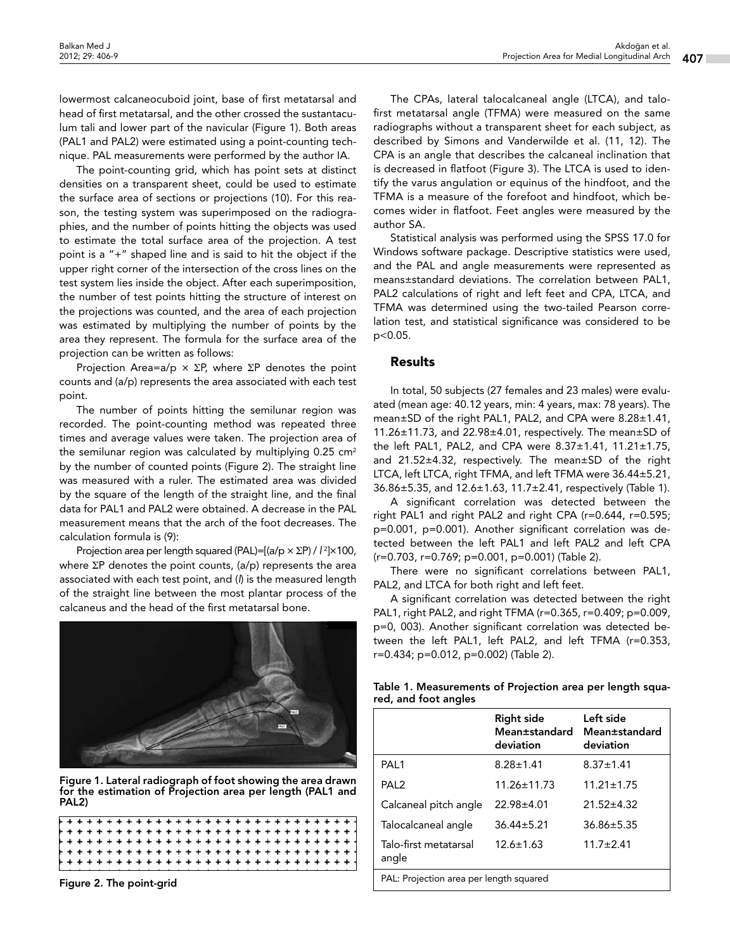lowermost calcaneocuboid joint, base of first metatarsal and head of first metatarsal, and the other crossed the sustantaculum tali and lower part of the navicular (Figure 1). Both areas (PAL1 and PAL2) were estimated using a point-counting technique. PAL measurements were performed by the author IA.

The point-counting grid, which has point sets at distinct densities on a transparent sheet, could be used to estimate the surface area of sections or projections (10). For this reason, the testing system was superimposed on the radiographies, and the number of points hitting the objects was used to estimate the total surface area of the projection. A test point is a "+" shaped line and is said to hit the object if the upper right corner of the intersection of the cross lines on the test system lies inside the object. After each superimposition, the number of test points hitting the structure of interest on the projections was counted, and the area of each projection was estimated by multiplying the number of points by the area they represent. The formula for the surface area of the projection can be written as follows:

Projection Area=a/p  $\times$   $\Sigma$ P, where  $\Sigma$ P denotes the point counts and (a/p) represents the area associated with each test point.

The number of points hitting the semilunar region was recorded. The point-counting method was repeated three times and average values were taken. The projection area of the semilunar region was calculated by multiplying  $0.25 \text{ cm}^2$ by the number of counted points (Figure 2). The straight line was measured with a ruler. The estimated area was divided by the square of the length of the straight line, and the final data for PAL1 and PAL2 were obtained. A decrease in the PAL measurement means that the arch of the foot decreases. The calculation formula is (9):

Projection area per length squared (PAL)=[(a/p × ΣP) / *l* <sup>2</sup> ]×100, where ΣP denotes the point counts, (a/p) represents the area associated with each test point, and (*l*) is the measured length of the straight line between the most plantar process of the calcaneus and the head of the first metatarsal bone.



Figure 1. Lateral radiograph of foot showing the area drawn for the estimation of Projection area per length (PAL1 and PAI<sub>2</sub>)





The CPAs, lateral talocalcaneal angle (LTCA), and talofirst metatarsal angle (TFMA) were measured on the same radiographs without a transparent sheet for each subject, as described by Simons and Vanderwilde et al. (11, 12). The CPA is an angle that describes the calcaneal inclination that is decreased in flatfoot (Figure 3). The LTCA is used to identify the varus angulation or equinus of the hindfoot, and the TFMA is a measure of the forefoot and hindfoot, which becomes wider in flatfoot. Feet angles were measured by the author SA.

Statistical analysis was performed using the SPSS 17.0 for Windows software package. Descriptive statistics were used, and the PAL and angle measurements were represented as means±standard deviations. The correlation between PAL1, PAL2 calculations of right and left feet and CPA, LTCA, and TFMA was determined using the two-tailed Pearson correlation test, and statistical significance was considered to be p<0.05.

#### Results

In total, 50 subjects (27 females and 23 males) were evaluated (mean age: 40.12 years, min: 4 years, max: 78 years). The mean±SD of the right PAL1, PAL2, and CPA were 8.28±1.41, 11.26±11.73, and 22.98±4.01, respectively. The mean±SD of the left PAL1, PAL2, and CPA were 8.37±1.41, 11.21±1.75, and 21.52±4.32, respectively. The mean±SD of the right LTCA, left LTCA, right TFMA, and left TFMA were 36.44±5.21, 36.86±5.35, and 12.6±1.63, 11.7±2.41, respectively (Table 1).

A significant correlation was detected between the right PAL1 and right PAL2 and right CPA (r=0.644, r=0.595; p=0.001, p=0.001). Another significant correlation was detected between the left PAL1 and left PAL2 and left CPA (r=0.703, r=0.769; p=0.001, p=0.001) (Table 2).

There were no significant correlations between PAL1, PAL2, and LTCA for both right and left feet.

A significant correlation was detected between the right PAL1, right PAL2, and right TFMA (r=0.365, r=0.409; p=0.009, p=0, 003). Another significant correlation was detected between the left PAL1, left PAL2, and left TFMA (r=0.353, r=0.434; p=0.012, p=0.002) (Table 2).

| Table 1. Measurements of Projection area per length squa- |  |  |  |
|-----------------------------------------------------------|--|--|--|
| red, and foot angles                                      |  |  |  |

|                                         | <b>Right side</b><br><b>Mean</b> ±standard<br>deviation | Left side<br>Mean±standard<br>deviation |  |  |  |
|-----------------------------------------|---------------------------------------------------------|-----------------------------------------|--|--|--|
| PAL <sub>1</sub>                        | $8.28 \pm 1.41$                                         | $8.37 \pm 1.41$                         |  |  |  |
| PAL <sub>2</sub>                        | 11.26±11.73                                             | $11.21 \pm 1.75$                        |  |  |  |
| Calcaneal pitch angle                   | $22.98 \pm 4.01$                                        | $21.52 \pm 4.32$                        |  |  |  |
| Talocalcaneal angle                     | $36.44 \pm 5.21$                                        | $36.86 \pm 5.35$                        |  |  |  |
| Talo-first metatarsal<br>angle          | $12.6 \pm 1.63$                                         | $11.7 + 2.41$                           |  |  |  |
| PAL: Projection area per length squared |                                                         |                                         |  |  |  |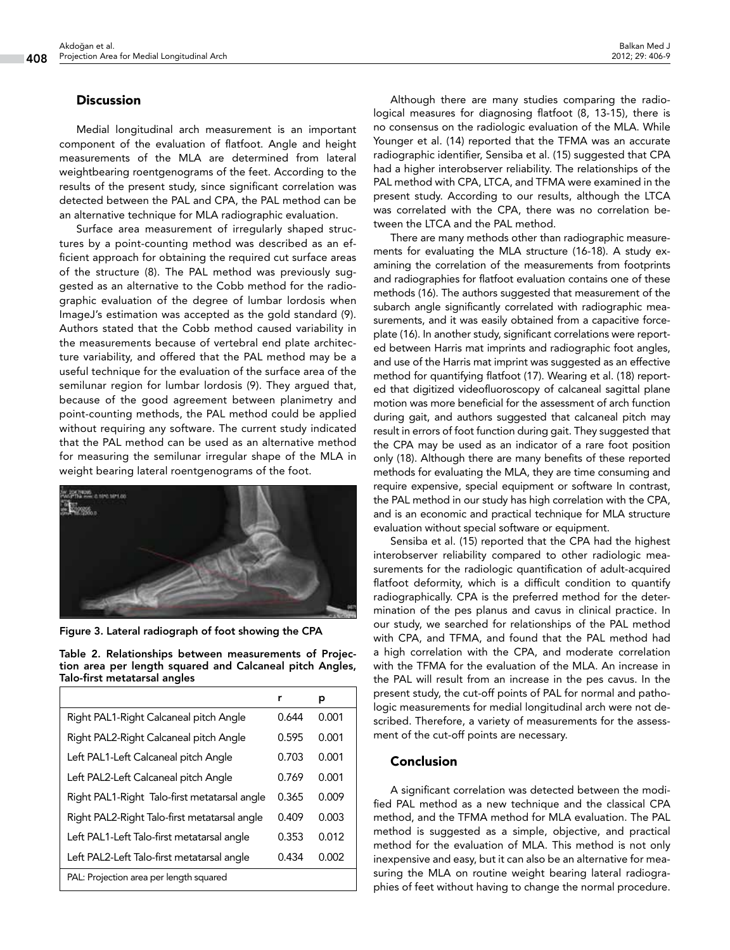# **Discussion**

Medial longitudinal arch measurement is an important component of the evaluation of flatfoot. Angle and height measurements of the MLA are determined from lateral weightbearing roentgenograms of the feet. According to the results of the present study, since significant correlation was detected between the PAL and CPA, the PAL method can be an alternative technique for MLA radiographic evaluation.

Surface area measurement of irregularly shaped structures by a point-counting method was described as an efficient approach for obtaining the required cut surface areas of the structure (8). The PAL method was previously suggested as an alternative to the Cobb method for the radiographic evaluation of the degree of lumbar lordosis when ImageJ's estimation was accepted as the gold standard (9). Authors stated that the Cobb method caused variability in the measurements because of vertebral end plate architecture variability, and offered that the PAL method may be a useful technique for the evaluation of the surface area of the semilunar region for lumbar lordosis (9). They argued that, because of the good agreement between planimetry and point-counting methods, the PAL method could be applied without requiring any software. The current study indicated that the PAL method can be used as an alternative method for measuring the semilunar irregular shape of the MLA in weight bearing lateral roentgenograms of the foot.



Figure 3. Lateral radiograph of foot showing the CPA

Table 2. Relationships between measurements of Projection area per length squared and Calcaneal pitch Angles, Talo-first metatarsal angles

|                                              | r     | р     |
|----------------------------------------------|-------|-------|
| Right PAL1-Right Calcaneal pitch Angle       | 0.644 | 0.001 |
| Right PAL2-Right Calcaneal pitch Angle       | 0.595 | 0.001 |
| Left PAL1-Left Calcaneal pitch Angle         | 0.703 | 0.001 |
| Left PAL2-Left Calcaneal pitch Angle         | 0.769 | 0.001 |
| Right PAL1-Right Talo-first metatarsal angle | 0.365 | 0.009 |
| Right PAL2-Right Talo-first metatarsal angle | 0.409 | 0.003 |
| Left PAL1-Left Talo-first metatarsal angle   | 0.353 | 0.012 |
| Left PAL2-Left Talo-first metatarsal angle   | 0.434 | 0.002 |
| PAL: Projection area per length squared      |       |       |

Although there are many studies comparing the radiological measures for diagnosing flatfoot (8, 13-15), there is no consensus on the radiologic evaluation of the MLA. While Younger et al. (14) reported that the TFMA was an accurate radiographic identifier, Sensiba et al. (15) suggested that CPA had a higher interobserver reliability. The relationships of the PAL method with CPA, LTCA, and TFMA were examined in the present study. According to our results, although the LTCA was correlated with the CPA, there was no correlation between the LTCA and the PAL method.

There are many methods other than radiographic measurements for evaluating the MLA structure (16-18). A study examining the correlation of the measurements from footprints and radiographies for flatfoot evaluation contains one of these methods (16). The authors suggested that measurement of the subarch angle significantly correlated with radiographic measurements, and it was easily obtained from a capacitive forceplate (16). In another study, significant correlations were reported between Harris mat imprints and radiographic foot angles, and use of the Harris mat imprint was suggested as an effective method for quantifying flatfoot (17). Wearing et al. (18) reported that digitized videofluoroscopy of calcaneal sagittal plane motion was more beneficial for the assessment of arch function during gait, and authors suggested that calcaneal pitch may result in errors of foot function during gait. They suggested that the CPA may be used as an indicator of a rare foot position only (18). Although there are many benefits of these reported methods for evaluating the MLA, they are time consuming and require expensive, special equipment or software In contrast, the PAL method in our study has high correlation with the CPA, and is an economic and practical technique for MLA structure evaluation without special software or equipment.

Sensiba et al. (15) reported that the CPA had the highest interobserver reliability compared to other radiologic measurements for the radiologic quantification of adult-acquired flatfoot deformity, which is a difficult condition to quantify radiographically. CPA is the preferred method for the determination of the pes planus and cavus in clinical practice. In our study, we searched for relationships of the PAL method with CPA, and TFMA, and found that the PAL method had a high correlation with the CPA, and moderate correlation with the TFMA for the evaluation of the MLA. An increase in the PAL will result from an increase in the pes cavus. In the present study, the cut-off points of PAL for normal and pathologic measurements for medial longitudinal arch were not described. Therefore, a variety of measurements for the assessment of the cut-off points are necessary.

### Conclusion

A significant correlation was detected between the modified PAL method as a new technique and the classical CPA method, and the TFMA method for MLA evaluation. The PAL method is suggested as a simple, objective, and practical method for the evaluation of MLA. This method is not only inexpensive and easy, but it can also be an alternative for measuring the MLA on routine weight bearing lateral radiographies of feet without having to change the normal procedure.